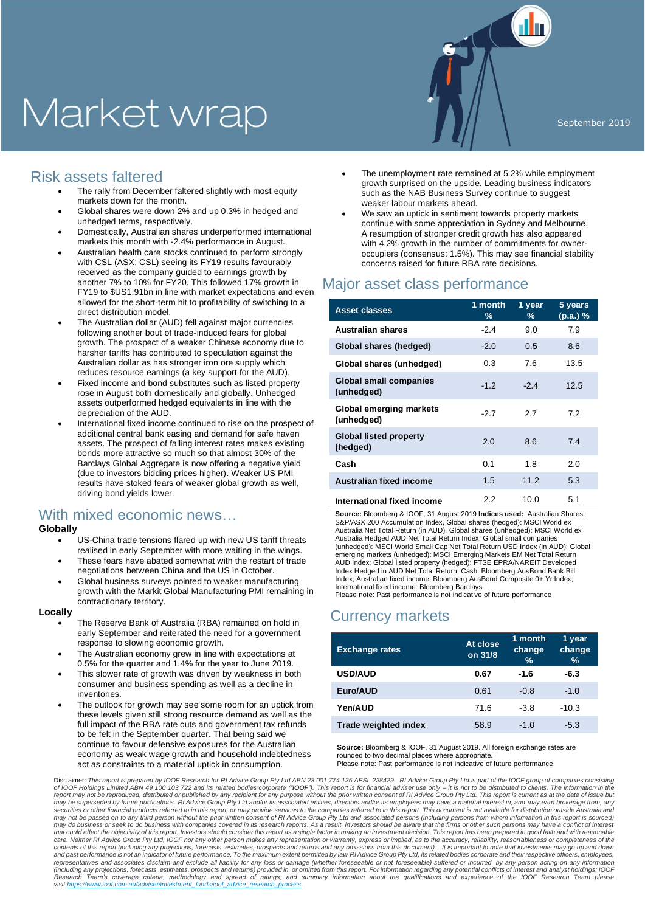# Market wrap

## Risk assets faltered

- The rally from December faltered slightly with most equity markets down for the month.
- Global shares were down 2% and up 0.3% in hedged and unhedged terms, respectively.
- Domestically, Australian shares underperformed international markets this month with -2.4% performance in August.
- Australian health care stocks continued to perform strongly with CSL (ASX: CSL) seeing its FY19 results favourably received as the company guided to earnings growth by another 7% to 10% for FY20. This followed 17% growth in FY19 to \$US1.91bn in line with market expectations and even allowed for the short-term hit to profitability of switching to a direct distribution model.
- The Australian dollar (AUD) fell against major currencies following another bout of trade-induced fears for global growth. The prospect of a weaker Chinese economy due to harsher tariffs has contributed to speculation against the Australian dollar as has stronger iron ore supply which reduces resource earnings (a key support for the AUD).
- Fixed income and bond substitutes such as listed property rose in August both domestically and globally. Unhedged assets outperformed hedged equivalents in line with the depreciation of the AUD.
- International fixed income continued to rise on the prospect of additional central bank easing and demand for safe haven assets. The prospect of falling interest rates makes existing bonds more attractive so much so that almost 30% of the Barclays Global Aggregate is now offering a negative yield (due to investors bidding prices higher). Weaker US PMI results have stoked fears of weaker global growth as well, driving bond yields lower.

## With mixed economic news…

### **Globally**

- US-China trade tensions flared up with new US tariff threats realised in early September with more waiting in the wings.
- These fears have abated somewhat with the restart of trade negotiations between China and the US in October.
- Global business surveys pointed to weaker manufacturing growth with the Markit Global Manufacturing PMI remaining in contractionary territory.

#### **Locally**

- The Reserve Bank of Australia (RBA) remained on hold in early September and reiterated the need for a government response to slowing economic growth.
- The Australian economy grew in line with expectations at 0.5% for the quarter and 1.4% for the year to June 2019.
- This slower rate of growth was driven by weakness in both consumer and business spending as well as a decline in inventories.
- The outlook for growth may see some room for an uptick from these levels given still strong resource demand as well as the full impact of the RBA rate cuts and government tax refunds to be felt in the September quarter. That being said we continue to favour defensive exposures for the Australian economy as weak wage growth and household indebtedness act as constraints to a material uptick in consumption.
- The unemployment rate remained at 5.2% while employment growth surprised on the upside. Leading business indicators such as the NAB Business Survey continue to suggest weaker labour markets ahead.
- We saw an uptick in sentiment towards property markets continue with some appreciation in Sydney and Melbourne. A resumption of stronger credit growth has also appeared with 4.2% growth in the number of commitments for owneroccupiers (consensus: 1.5%). This may see financial stability concerns raised for future RBA rate decisions.

## Major asset class performance

| <b>Asset classes</b>                        | 1 month<br>$\%$ | 1 year<br>% | 5 years<br>(p.a.) % |
|---------------------------------------------|-----------------|-------------|---------------------|
| <b>Australian shares</b>                    | $-2.4$          | 9.0         | 7.9                 |
| Global shares (hedged)                      | $-2.0$          | 0.5         | 8.6                 |
| Global shares (unhedged)                    | 0.3             | 7.6         | 13.5                |
| <b>Global small companies</b><br>(unhedged) | $-1.2$          | $-2.4$      | 12.5                |
| Global emerging markets<br>(unhedged)       | $-2.7$          | 2.7         | 7.2                 |
| <b>Global listed property</b><br>(hedged)   | 2.0             | 8.6         | 7.4                 |
| Cash                                        | 0.1             | 1.8         | 2.0                 |
| Australian fixed income                     | 1.5             | 11.2        | 5.3                 |
| International fixed income                  | 2.2             | 10.0        | 5.1                 |

**Source:** Bloomberg & IOOF, 31 August 2019 **Indices used:** Australian Shares: S&P/ASX 200 Accumulation Index, Global shares (hedged): MSCI World ex Australia Net Total Return (in AUD), Global shares (unhedged): MSCI World ex Australia Hedged AUD Net Total Return Index; Global small companies (unhedged): MSCI World Small Cap Net Total Return USD Index (in AUD); Global emerging markets (unhedged): MSCI Emerging Markets EM Net Total Return AUD Index; Global listed property (hedged): FTSE EPRA/NAREIT Developed Index Hedged in AUD Net Total Return; Cash: Bloomberg AusBond Bank Bill Index; Australian fixed income: Bloomberg AusBond Composite 0+ Yr Index; International fixed income: Bloomberg Barclays Please note: Past performance is not indicative of future performance

## Currency markets

| <b>Exchange rates</b> | At close<br>on 31/8 | 1 month<br>change<br>$\%$ | 1 year<br>change<br>$\frac{9}{6}$ |
|-----------------------|---------------------|---------------------------|-----------------------------------|
| <b>USD/AUD</b>        | 0.67                | $-1.6$                    | $-6.3$                            |
| Euro/AUD              | 0.61                | $-0.8$                    | $-1.0$                            |
| Yen/AUD               | 71.6                | $-3.8$                    | $-10.3$                           |
| Trade weighted index  | 58.9                | $-1.0$                    | $-5.3$                            |

**Source:** Bloomberg & IOOF, 31 August 2019. All foreign exchange rates are rounded to two decimal places where appropriate. Please note: Past performance is not indicative of future performance.

Disclaimer: This report is prepared by IOOF Research for RI Advice Group Pty Ltd ABN 23 001 774 125 AFSL 238429. RI Advice Group Pty Ltd is part of the IOOF group of companies consisting<br>of IOOF Holdings Limited ABN 49 10 report may not be reproduced, distributed or published by any recipient for any purpose without the prior written consent of RI Advice Group Pty Ltd. This report is current as at the date of issue but<br>may be superseded by securities or other financial products referred to in this report, or may provide services to the companies referred to in this report. This document is not available for distribution outside Australia and<br>may not be passe may do business or seek to do business with companies covered in its research reports. As a result, investors should be aware that the firms or other such persons may have a conflict of interest that could affect the objectivity of this report. Investors should consider this report as a single factor in making an investment decision. This report has been prepared in good faith and with reasonable<br>care. Neither RI contents of this report (including any projections, forecasts, estimates, prospects and returns and any omissions from this document). It is important to note that investments may go up and down<br>and past performance is not representatives and associates disclaim and exclude all liability for any loss or damage (whether foreseeable) or not foreseeable) suffered or incurred by any person acting on any information<br>(including any projections, f Research Team's coverage criteria, methodology and spread of ratings; and summary information about the qualifications and experience of the IOOF Research Team please<br>visithttps://www.ioof.com.au/adviser/investment funds/i